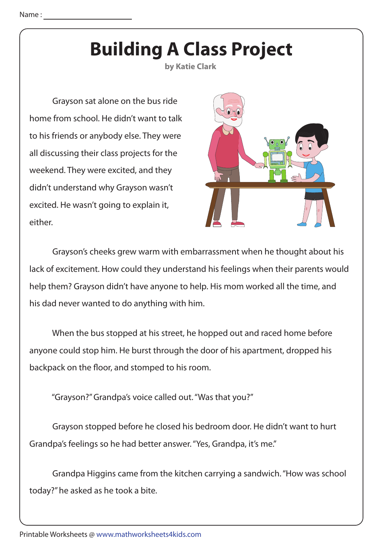## **Building A Class Project**

**by Katie Clark**

 Grayson sat alone on the bus ride home from school. He didn't want to talk to his friends or anybody else. They were all discussing their class projects for the weekend. They were excited, and they didn't understand why Grayson wasn't excited. He wasn't going to explain it, either.



 Grayson's cheeks grew warm with embarrassment when he thought about his lack of excitement. How could they understand his feelings when their parents would help them? Grayson didn't have anyone to help. His mom worked all the time, and his dad never wanted to do anything with him.

 When the bus stopped at his street, he hopped out and raced home before anyone could stop him. He burst through the door of his apartment, dropped his backpack on the floor, and stomped to his room.

"Grayson?" Grandpa's voice called out. "Was that you?"

 Grayson stopped before he closed his bedroom door. He didn't want to hurt Grandpa's feelings so he had better answer. "Yes, Grandpa, it's me."

 Grandpa Higgins came from the kitchen carrying a sandwich. "How was school today?" he asked as he took a bite.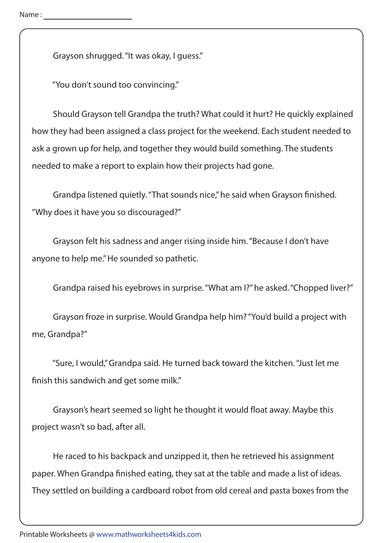Grayson shrugged. "It was okay, I guess."

"You don't sound too convincing."

 Should Grayson tell Grandpa the truth? What could it hurt? He quickly explained how they had been assigned a class project for the weekend. Each student needed to ask a grown up for help, and together they would build something. The students needed to make a report to explain how their projects had gone.

Grandpa listened quietly. "That sounds nice," he said when Grayson finished. "Why does it have you so discouraged?"

 Grayson felt his sadness and anger rising inside him. "Because I don't have anyone to help me." He sounded so pathetic.

Grandpa raised his eyebrows in surprise. "What am I?" he asked. "Chopped liver?"

 Grayson froze in surprise. Would Grandpa help him? "You'd build a project with me, Grandpa?"

 "Sure, I would," Grandpa said. He turned back toward the kitchen. "Just let me finish this sandwich and get some milk."

Grayson's heart seemed so light he thought it would float away. Maybe this project wasn't so bad, after all.

 He raced to his backpack and unzipped it, then he retrieved his assignment paper. When Grandpa finished eating, they sat at the table and made a list of ideas. They settled on building a cardboard robot from old cereal and pasta boxes from the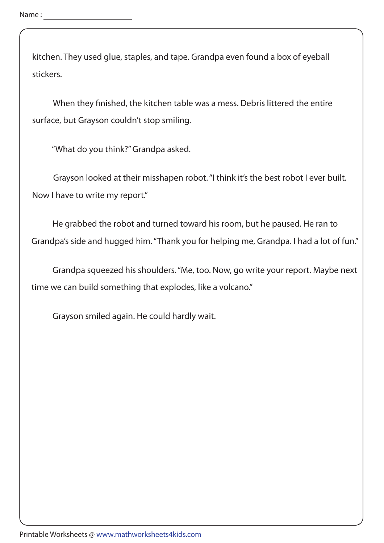kitchen. They used glue, staples, and tape. Grandpa even found a box of eyeball stickers.

When they finished, the kitchen table was a mess. Debris littered the entire surface, but Grayson couldn't stop smiling.

"What do you think?" Grandpa asked.

 Grayson looked at their misshapen robot. "I think it's the best robot I ever built. Now I have to write my report."

 He grabbed the robot and turned toward his room, but he paused. He ran to Grandpa's side and hugged him. "Thank you for helping me, Grandpa. I had a lot of fun."

 Grandpa squeezed his shoulders. "Me, too. Now, go write your report. Maybe next time we can build something that explodes, like a volcano."

Grayson smiled again. He could hardly wait.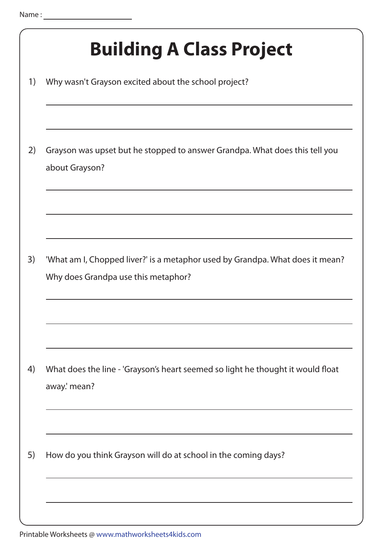| <b>Building A Class Project</b>                                                                                      |
|----------------------------------------------------------------------------------------------------------------------|
| Why wasn't Grayson excited about the school project?                                                                 |
| Grayson was upset but he stopped to answer Grandpa. What does this tell you<br>about Grayson?                        |
| 'What am I, Chopped liver?' is a metaphor used by Grandpa. What does it mean?<br>Why does Grandpa use this metaphor? |
|                                                                                                                      |
| What does the line - 'Grayson's heart seemed so light he thought it would float<br>away.' mean?                      |
| How do you think Grayson will do at school in the coming days?                                                       |
|                                                                                                                      |